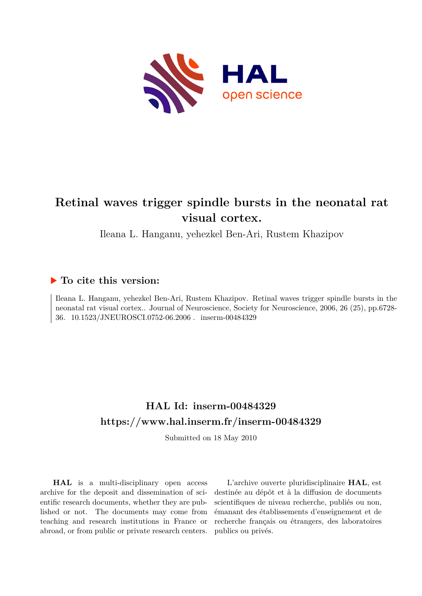

## **Retinal waves trigger spindle bursts in the neonatal rat visual cortex.**

Ileana L. Hanganu, yehezkel Ben-Ari, Rustem Khazipov

### **To cite this version:**

Ileana L. Hanganu, yehezkel Ben-Ari, Rustem Khazipov. Retinal waves trigger spindle bursts in the neonatal rat visual cortex.. Journal of Neuroscience, Society for Neuroscience, 2006, 26 (25), pp.6728- 36. 10.1523/JNEUROSCI.0752-06.2006. inserm-00484329

## **HAL Id: inserm-00484329 <https://www.hal.inserm.fr/inserm-00484329>**

Submitted on 18 May 2010

**HAL** is a multi-disciplinary open access archive for the deposit and dissemination of scientific research documents, whether they are published or not. The documents may come from teaching and research institutions in France or abroad, or from public or private research centers.

L'archive ouverte pluridisciplinaire **HAL**, est destinée au dépôt et à la diffusion de documents scientifiques de niveau recherche, publiés ou non, émanant des établissements d'enseignement et de recherche français ou étrangers, des laboratoires publics ou privés.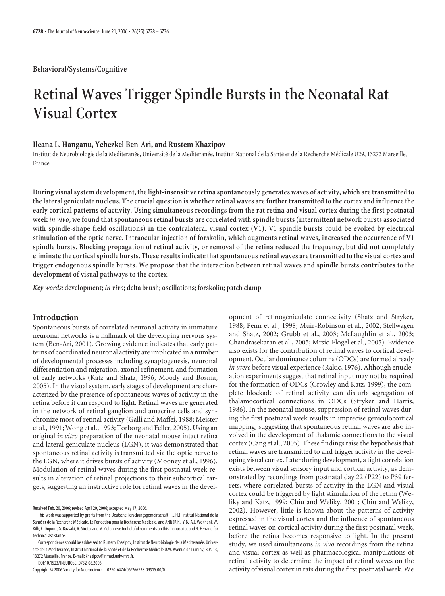# **Retinal Waves Trigger Spindle Bursts in the Neonatal Rat Visual Cortex**

#### **Ileana L. Hanganu, Yehezkel Ben-Ari, and Rustem Khazipov**

Institut de Neurobiologie de la Mediteranée, Université de la Mediteranée, Institut National de la Santé et de la Recherche Médicale U29, 13273 Marseille, France

**During visual system development, the light-insensitive retina spontaneously generates waves of activity, which are transmitted to the lateral geniculate nucleus. The crucial question is whether retinal waves are further transmitted to the cortex and influence the early cortical patterns of activity. Using simultaneous recordings from the rat retina and visual cortex during the first postnatal week** *in vivo***, we found that spontaneous retinal bursts are correlated with spindle bursts (intermittent network bursts associated with spindle-shape field oscillations) in the contralateral visual cortex (V1). V1 spindle bursts could be evoked by electrical stimulation of the optic nerve. Intraocular injection of forskolin, which augments retinal waves, increased the occurrence of V1 spindle bursts. Blocking propagation of retinal activity, or removal of the retina reduced the frequency, but did not completely eliminate the cortical spindle bursts. These results indicate that spontaneous retinal waves are transmitted to the visual cortex and trigger endogenous spindle bursts. We propose that the interaction between retinal waves and spindle bursts contributes to the development of visual pathways to the cortex.**

*Key words:* **development;** *in vivo***; delta brush; oscillations; forskolin; patch clamp**

#### **Introduction**

Spontaneous bursts of correlated neuronal activity in immature neuronal networks is a hallmark of the developing nervous system (Ben-Ari, 2001). Growing evidence indicates that early patterns of coordinated neuronal activity are implicated in a number of developmental processes including synaptogenesis, neuronal differentiation and migration, axonal refinement, and formation of early networks (Katz and Shatz, 1996; Moody and Bosma, 2005). In the visual system, early stages of development are characterized by the presence of spontaneous waves of activity in the retina before it can respond to light. Retinal waves are generated in the network of retinal ganglion and amacrine cells and synchronize most of retinal activity (Galli and Maffei, 1988; Meister et al., 1991;Wong et al., 1993; Torborg and Feller, 2005). Using an original *in vitro* preparation of the neonatal mouse intact retina and lateral geniculate nucleus (LGN), it was demonstrated that spontaneous retinal activity is transmitted via the optic nerve to the LGN, where it drives bursts of activity (Mooney et al., 1996). Modulation of retinal waves during the first postnatal week results in alteration of retinal projections to their subcortical targets, suggesting an instructive role for retinal waves in the devel-

DOI:10.1523/JNEUROSCI.0752-06.2006

Copyright © 2006 Society for Neuroscience 0270-6474/06/266728-09\$15.00/0

opment of retinogeniculate connectivity (Shatz and Stryker, 1988; Penn et al., 1998; Muir-Robinson et al., 2002; Stellwagen and Shatz, 2002; Grubb et al., 2003; McLaughlin et al., 2003; Chandrasekaran et al., 2005; Mrsic-Flogel et al., 2005). Evidence also exists for the contribution of retinal waves to cortical development. Ocular dominance columns (ODCs) are formed already *in utero* before visual experience (Rakic, 1976). Although enucleation experiments suggest that retinal input may not be required for the formation of ODCs (Crowley and Katz, 1999), the complete blockade of retinal activity can disturb segregation of thalamocortical connections in ODCs (Stryker and Harris, 1986). In the neonatal mouse, suppression of retinal waves during the first postnatal week results in imprecise geniculocortical mapping, suggesting that spontaneous retinal waves are also involved in the development of thalamic connections to the visual cortex (Cang et al., 2005). These findings raise the hypothesis that retinal waves are transmitted to and trigger activity in the developing visual cortex. Later during development, a tight correlation exists between visual sensory input and cortical activity, as demonstrated by recordings from postnatal day 22 (P22) to P39 ferrets, where correlated bursts of activity in the LGN and visual cortex could be triggered by light stimulation of the retina (Weliky and Katz, 1999; Chiu and Weliky, 2001; Chiu and Weliky, 2002). However, little is known about the patterns of activity expressed in the visual cortex and the influence of spontaneous retinal waves on cortical activity during the first postnatal week, before the retina becomes responsive to light. In the present study, we used simultaneous *in vivo* recordings from the retina and visual cortex as well as pharmacological manipulations of retinal activity to determine the impact of retinal waves on the activity of visual cortex in rats during the first postnatal week. We

Received Feb. 20, 2006; revised April 20, 2006; accepted May 17, 2006.

This work was supported by grants from the Deutsche Forschungsgemeinschaft (I.L.H.), Institut National de la Santé et de la Recherche Médicale, La Fondation pour la Recherche Médicale, and ANR (R.K., Y.B.-A.). We thank W. Kilb, E. Dupont, G. Buzsaki, A. Sirota, and M. Colonnese for helpful comments on this manuscript and N. Ferrand for technical assistance.

Correspondence should be addressed to Rustem Khazipov, Institut de Neurobiologie de la Mediteranée, Université de la Mediteranée, Institut National de la Santé et de la Recherche Médicale U29, Avenue de Luminy, B.P. 13, 13272 Marseille, France. E-mail: khazipov@inmed.univ-mrs.fr.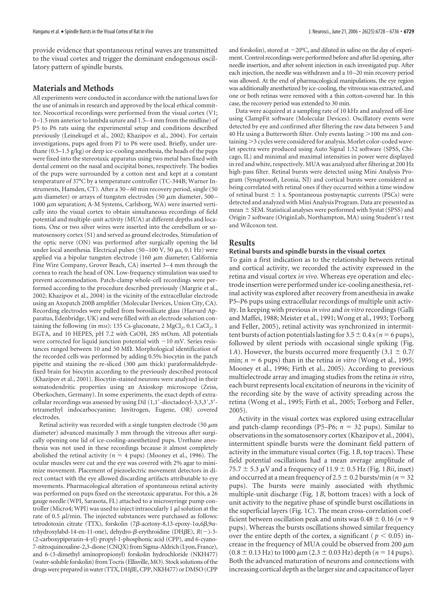provide evidence that spontaneous retinal waves are transmitted to the visual cortex and trigger the dominant endogenous oscillatory pattern of spindle bursts.

#### **Materials and Methods**

All experiments were conducted in accordance with the national laws for the use of animals in research and approved by the local ethical committee. Neocortical recordings were performed from the visual cortex (V1; 0 –1.5 mm anterior to lambda suture and 1.5– 4 mm from the midline) of P5 to P6 rats using the experimental setup and conditions described previously (Leinekugel et al., 2002; Khazipov et al., 2004). For certain investigations, pups aged from P1 to P6 were used. Briefly, under urethane (0.5–1.5 g/kg) or deep ice-cooling anesthesia, the heads of the pups were fixed into the stereotaxic apparatus using two metal bars fixed with dental cement on the nasal and occipital bones, respectively. The bodies of the pups were surrounded by a cotton nest and kept at a constant temperature of 37°C by a temperature controller (TC-344B; Warner Instruments, Hamden, CT). After a 30 – 60 min recovery period, single (50  $\mu$ m diameter) or arrays of tungsten electrodes (50  $\mu$ m diameter, 500– 1000  $\mu$ m separation; A-M Systems, Carlsborg, WA) were inserted vertically into the visual cortex to obtain simultaneous recordings of field potential and multiple-unit activity (MUA) at different depths and locations. One or two silver wires were inserted into the cerebellum or somatosensory cortex (S1) and served as ground electrodes. Stimulation of the optic nerve (ON) was performed after surgically opening the lid under local anesthesia. Electrical pulses (50-100 V, 50  $\mu$ s, 0.1 Hz) were applied via a bipolar tungsten electrode  $(160 \mu m)$  diameter; California Fine Wire Company, Grover Beach, CA) inserted 3– 4 mm through the cornea to reach the head of ON. Low-frequency stimulation was used to prevent accommodation. Patch-clamp whole-cell recordings were performed according to the procedure described previously (Margrie et al., 2002; Khazipov et al., 2004) in the vicinity of the extracellular electrode using an Axopatch 200B amplifier (Molecular Devices, Union City, CA). Recording electrodes were pulled from borosilicate glass (Harvard Apparatus, Edenbridge, UK) and were filled with an electrode solution containing the following (in mm): 135 Cs-gluconate, 2 MgCl<sub>2</sub>, 0.1 CaCl<sub>2</sub>, 1 EGTA, and 10 HEPES, pH 7.2 with CsOH, 285 mOsm. All potentials were corrected for liquid junction potential with  $-10$  mV. Series resistances ranged between 10 and 50 M $\Omega$ . Morphological identification of the recorded cells was performed by adding 0.5% biocytin in the patch pipette and staining the re-sliced (300  $\mu$ m thick) paraformaldehydefixed brain for biocytin according to the previously described protocol (Khazipov et al., 2001). Biocytin-stained neurons were analyzed in their somatodendritic properties using an Axioskop microscope (Zeiss, Oberkochen, Germany). In some experiments, the exact depth of extracellular recordings was assessed by using DiI  $(1,1'-dioctadecyl-3,3,3',3'$ tetramethyl indocarbocyanine; Invitrogen, Eugene, OR) covered electrodes.

Retinal activity was recorded with a single tungsten electrode (50  $\mu$ m diameter) advanced maximally 3 mm through the vitreous after surgically opening one lid of ice-cooling-anesthetized pups. Urethane anesthesia was not used in these recordings because it almost completely abolished the retinal activity ( $n = 4$  pups) (Mooney et al., 1996). The ocular muscles were cut and the eye was covered with 2% agar to minimize movement. Placement of piezoelectric movement detectors in direct contact with the eye allowed discarding artifacts attributable to eye movements. Pharmacological alteration of spontaneous retinal activity was performed on pups fixed on the stereotaxic apparatus. For this, a 26 gauge needle (WPI, Sarasota, FL) attached to a microsyringe pump controller (Micro4; WPI) was used to inject intraocularly 1  $\mu$ l solution at the rate of 0.5  $\mu$ l/min. The injected substances were purchased as follows: tetrodotoxin citrate (TTX), forskolin (7β-acetoxy-8,13-epoxy-1α,6β,9αtrhydroxylabd-14-en-11-one), dehydro-β-erythroidine (DHβE), R(-)-3-(2-carboxypiperazin-4-yl)-propyl-1-phosphonic acid (CPP), and 6-cyano-7-nitroquinoxaline-2,3-dione (CNQX) from Sigma-Aldrich (Lyon, France), and 6-(3-dimethyl aminopropionyl) forskolin hydrochloride (NKH477) (water-soluble forskolin) from Tocris (Ellisville,MO). Stock solutions of the drugs were prepared in water (TTX, DHBE, CPP, NKH477) or DMSO (CPP

and forskolin), stored at  $-20^{\circ}$ C, and diluted in saline on the day of experiment. Control recordings were performed before and after lid opening, after needle insertion, and after solvent injection in each investigated pup. After each injection, the needle was withdrawn and a 10 –20 min recovery period was allowed. At the end of pharmacological manipulations, the eye region was additionally anesthetized by ice-cooling, the vitreous was extracted, and one or both retinas were removed with a thin cotton-covered bar. In this case, the recovery period was extended to 30 min.

Data were acquired at a sampling rate of 10 kHz and analyzed off-line using ClampFit software (Molecular Devices). Oscillatory events were detected by eye and confirmed after filtering the raw data between 5 and 40 Hz using a Butterworth filter. Only events lasting >100 ms and containing >3 cycles were considered for analysis. Morlet color-coded wavelet spectra were produced using Auto Signal 1.52 software (SPSS, Chicago, IL) and minimal and maximal intensities in power were displayed in red and white, respectively. MUA was analyzed after filtering at 200 Hz high-pass filter. Retinal bursts were detected using Mini Analysis Program (Synaptosoft, Leonia, NJ) and cortical bursts were considered as being correlated with retinal ones if they occurred within a time window of retinal burst  $\pm$  1 s. Spontaneous postsynaptic currents (PSCs) were detected and analyzed with Mini Analysis Program. Data are presented as mean  $\pm$  SEM. Statistical analyses were performed with Systat (SPSS) and Origin 7 software (OriginLab, Northampton, MA) using Student's *t* test and Wilcoxon test.

#### **Results**

#### **Retinal bursts and spindle bursts in the visual cortex**

To gain a first indication as to the relationship between retinal and cortical activity, we recorded the activity expressed in the retina and visual cortex *in vivo*. Whereas eye operation and electrode insertion were performed under ice-cooling anesthesia, retinal activity was explored after recovery from anesthesia in awake P5–P6 pups using extracellular recordings of multiple unit activity. In keeping with previous *in vivo* and *in vitro* recordings (Galli and Maffei, 1988; Meister et al., 1991; Wong et al., 1993; Torborg and Feller, 2005), retinal activity was synchronized in intermittent bursts of action potentials lasting for  $3.5 \pm 0.4$  s ( $n = 6$  pups), followed by silent periods with occasional single spiking (Fig. 1*A*). However, the bursts occurred more frequently  $(3.1 \pm 0.7/$ min;  $n = 6$  pups) than in the retina *in vitro* (Wong et al., 1995; Mooney et al., 1996; Firth et al., 2005). According to previous multielectrode array and imaging studies from the retina *in vitro*, each burst represents local excitation of neurons in the vicinity of the recording site by the wave of activity spreading across the retina (Wong et al., 1995; Firth et al., 2005; Torborg and Feller, 2005).

Activity in the visual cortex was explored using extracellular and patch-clamp recordings (P5–P6;  $n = 32$  pups). Similar to observations in the somatosensory cortex (Khazipov et al., 2004), intermittent spindle bursts were the dominant field pattern of activity in the immature visual cortex (Fig. 1*B*, top traces). These field potential oscillations had a mean average amplitude of 75.7  $\pm$  5.3  $\mu$ V and a frequency of 11.9  $\pm$  0.5 Hz (Fig. 1*Bii*, inset) and occurred at a mean frequency of  $2.5 \pm 0.2$  bursts/min ( $n = 32$ ) pups). The bursts were mainly associated with rhythmic multiple-unit discharge (Fig. 1*B*, bottom traces) with a lock of unit activity to the negative phase of spindle burst oscillations in the superficial layers (Fig. 1*C*). The mean cross-correlation coefficient between oscillation peak and units was  $0.48 \pm 0.16$  ( $n = 9$ ) pups). Whereas the bursts oscillations showed similar frequency over the entire depth of the cortex, a significant ( $p < 0.05$ ) increase in the frequency of MUA could be observed from 200  $\mu$ m  $(0.8 \pm 0.13 \text{ Hz})$  to 1000  $\mu$ m (2.3  $\pm$  0.03 Hz) depth (*n* = 14 pups). Both the advanced maturation of neurons and connections with increasing cortical depth as the larger size and capacitance of layer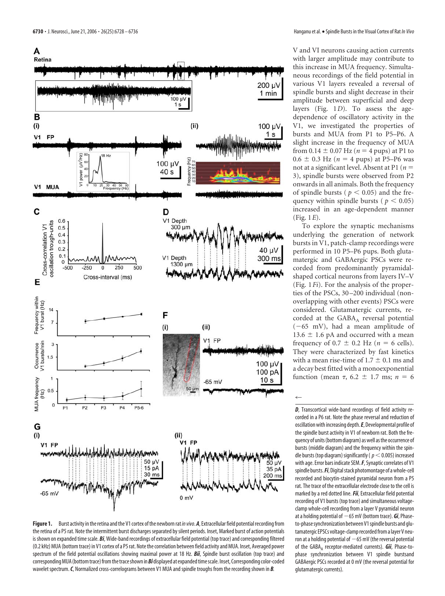

Figure 1. Burst activity in the retina and the V1 cortex of the newborn rat *in vivo*. A, Extracellular field potential recording from the retina of a P5 rat. Note the intermittent burst discharges separated by silent periods. Inset, Marked burst of action potentials is shown on expanded time scale. *Bi*, Wide-band recordings of extracellular field potential (top trace) and corresponding filtered (0.2 kHz) MUA (bottom trace) in V1 cortex of a P5 rat. Note the correlation between field activity and MUA. Inset, Averaged power spectrum of the field potential oscillations showing maximal power at 18 Hz. *Bii*, Spindle burst oscillation (top trace) and corresponding MUA (bottom trace) from the trace shown in *Bi* displayed at expanded time scale. Inset, Corresponding color-coded wavelet spectrum.*C*, Normalized cross-correlograms between V1 MUA and spindle troughs from the recording shown in *B*.

V and VI neurons causing action currents with larger amplitude may contribute to this increase in MUA frequency. Simultaneous recordings of the field potential in various V1 layers revealed a reversal of spindle bursts and slight decrease in their amplitude between superficial and deep layers (Fig. 1*D*). To assess the agedependence of oscillatory activity in the V1, we investigated the properties of bursts and MUA from P1 to P5–P6. A slight increase in the frequency of MUA from  $0.14 \pm 0.07$  Hz ( $n = 4$  pups) at P1 to  $0.6 \pm 0.3$  Hz ( $n = 4$  pups) at P5–P6 was not at a significant level. Absent at P1 (*n* 3), spindle bursts were observed from P2 onwards in all animals. Both the frequency of spindle bursts ( $p < 0.05$ ) and the frequency within spindle bursts ( $p < 0.05$ ) increased in an age-dependent manner (Fig. 1*E*).

To explore the synaptic mechanisms underlying the generation of network bursts in V1, patch-clamp recordings were performed in 10 P5–P6 pups. Both glutamatergic and GABAergic PSCs were recorded from predominantly pyramidalshaped cortical neurons from layers IV–V (Fig. 1*Fi*). For the analysis of the properties of the PSCs, 30 –200 individual (nonoverlapping with other events) PSCs were considered. Glutamatergic currents, recorded at the GABAA reversal potential  $(-65 \text{ mV})$ , had a mean amplitude of 13.6  $\pm$  1.6 pA and occurred with a mean frequency of  $0.7 \pm 0.2$  Hz ( $n = 6$  cells). They were characterized by fast kinetics with a mean rise-time of  $1.7 \pm 0.1$  ms and a decay best fitted with a monoexponential function (mean  $\tau$ , 6.2  $\pm$  1.7 ms;  $n = 6$ 

*D*, Transcortical wide-band recordings of field activity recorded in a P6 rat. Note the phase reversal and reduction of oscillation with increasing depth.*E*, Developmental profile of the spindle burst activity in V1 of newborn rat. Both the frequency of units(bottom diagram) aswell asthe occurrence of bursts (middle diagram) and the frequency within the spindle bursts (top diagram) significantly ( $p<$  0.005) increased with age. Error bars indicate SEM.*F*, Synaptic correlates of V1 spindle bursts. Fi, Digital stack photomontage of a whole-cell recorded and biocytin-stained pyramidal neuron from a P5 rat. The trace of the extracellular electrode close to the cell is marked by a red dotted line.*Fii*, Extracellular field potential recording of V1 bursts (top trace) and simultaneous voltageclamp whole-cell recording from a layer V pyramidal neuron at a holding potential of  $-65$  mV (bottom trace). *Gi*, Phaseto-phase synchronization between V1 spindle bursts and glutamatergic EPSCs voltage-clamp recorded from a layer V neuron at a holding potential of  $-65$  mV (the reversal potential of the GABA, receptor-mediated currents). **Gii**, Phase-tophase synchronization between V1 spindle burstsand GABAergic PSCs recorded at 0 mV (the reversal potential for glutamatergic currents).

 $\leftarrow$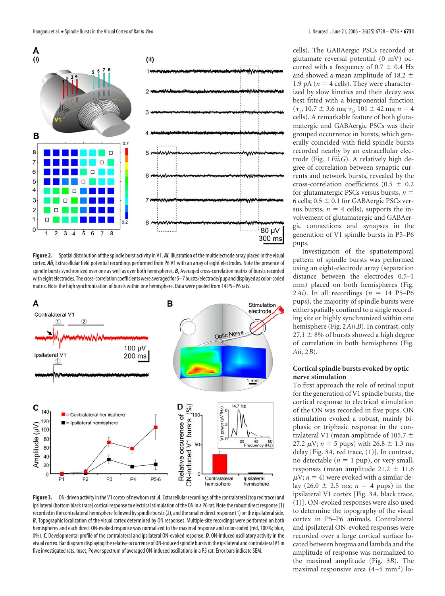

**Figure 2.** Spatial distribution of the spindle burst activity in V1. *Ai*, Illustration of the multielectrode array placed in the visual cortex. *Aii*, Extracellular field potential recordings performed from P6 V1 with an array of eight electrodes. Note the presence of spindle bursts synchronized over one as well as over both hemispheres. *B*, Averaged cross-correlation matrix of bursts recorded with eight electrodes. The cross-correlation coefficientswere averagedfor 5–7 bursts/electrode/pup and displayed as color-coded matrix. Note the high synchronization of bursts within one hemisphere. Data were pooled from 14 P5–P6 rats.



**Figure 3.** ON-driven activity in the V1 cortex of newborn rat. *A*, Extracellular recordings of the contralateral (top red trace) and ipsilateral (bottom black trace) cortical response to electricalstimulation of the ON in a P6 rat. Note the robust direct response (1) recorded in the contralateral hemisphere followed by spindle bursts (2), and the smaller direct response (1) on the ipsilateral side. *B*, Topographic localization of the visual cortex determined by ON responses. Multiple-site recordings were performed on both hemispheres and each direct ON-evoked response was normalized to the maximal response and color-coded (red, 100%; blue, 0%).*C*, Developmental profile of the contralateral and ipsilateral ON-evoked response. *D*, ON-induced oscillatory activity in the visual cortex. Bar diagram displaying the relative occurrence of ON-induced spindle bursts in the ipsilateral and contralateral V1 in five investigated rats. Inset, Power spectrum of averaged ON-induced oscillations in a P5 rat. Error bars indicate SEM.

cells). The GABAergic PSCs recorded at glutamate reversal potential (0 mV) occurred with a frequency of  $0.7 \pm 0.4$  Hz and showed a mean amplitude of 18.2  $\pm$ 1.9 pA ( $n = 4$  cells). They were characterized by slow kinetics and their decay was best fitted with a biexponential function  $(\tau_1, 10.7 \pm 3.6 \text{ ms}; \tau_2, 101 \pm 42 \text{ ms}; n = 4$ cells). A remarkable feature of both glutamatergic and GABAergic PSCs was their grouped occurrence in bursts, which generally coincided with field spindle bursts recorded nearby by an extracellular electrode (Fig. 1*Fii*,*G*). A relatively high degree of correlation between synaptic currents and network bursts, revealed by the cross-correlation coefficients (0.5  $\pm$  0.2 for glutamatergic PSCs versus bursts, *n* 6 cells;  $0.5 \pm 0.1$  for GABAergic PSCs versus bursts,  $n = 4$  cells), supports the involvement of glutamatergic and GABAergic connections and synapses in the generation of V1 spindle bursts in P5–P6 pups.

Investigation of the spatiotemporal pattern of spindle bursts was performed using an eight-electrode array (separation distance between the electrodes 0.5–1 mm) placed on both hemispheres (Fig. 2*Ai*). In all recordings  $(n = 14 \text{ P5}-P6)$ pups), the majority of spindle bursts were either spatially confined to a single recording site or highly synchronized within one hemisphere (Fig. 2*Aii*,*B*). In contrast, only  $27.1 \pm 8\%$  of bursts showed a high degree of correlation in both hemispheres (Fig. *Aii*, 2*B*).

#### **Cortical spindle bursts evoked by optic nerve stimulation**

To first approach the role of retinal input for the generation of V1 spindle bursts, the cortical response to electrical stimulation of the ON was recorded in five pups. ON stimulation evoked a robust, mainly biphasic or triphasic response in the contralateral V1 (mean amplitude of 105.7  $\pm$ 27.2  $\mu$ V;  $n = 5$  pups) with 26.8  $\pm$  1.3 ms delay [Fig. 3*A*, red trace, (1)]. In contrast, no detectable  $(n = 1$  pup), or very small, responses (mean amplitude 21.2  $\pm$  11.6  $\mu$ V;  $n = 4$ ) were evoked with a similar delay  $(26.0 \pm 2.5 \text{ ms}; n = 4 \text{ phys})$  in the ipsilateral V1 cortex [Fig. 3*A*, black trace, (1)]. ON-evoked responses were also used to determine the topography of the visual cortex in P5–P6 animals. Contralateral and ipsilateral ON-evoked responses were recorded over a large cortical surface located between bregma and lambda and the amplitude of response was normalized to the maximal amplitude (Fig. 3*B*). The maximal responsive area (4-5 mm<sup>2</sup>) lo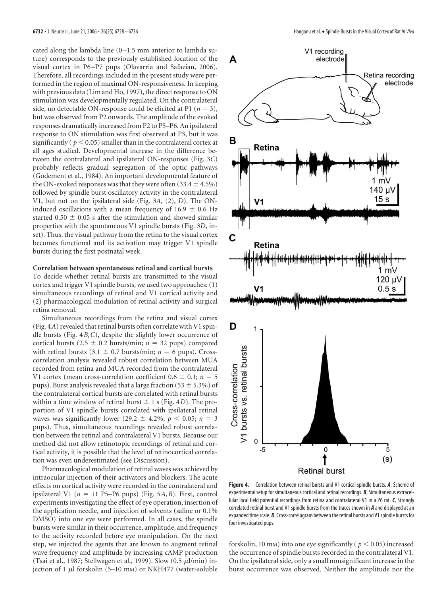cated along the lambda line  $(0-1.5 \text{ mm}$  anterior to lambda suture) corresponds to the previously established location of the visual cortex in P6 –P7 pups (Olavarria and Safaeian, 2006). Therefore, all recordings included in the present study were performed in the region of maximal ON-responsiveness. In keeping with previous data (Lim and Ho, 1997), the direct response to ON stimulation was developmentally regulated. On the contralateral side, no detectable ON-response could be elicited at P1 ( $n = 3$ ), but was observed from P2 onwards. The amplitude of the evoked responses dramatically increased from P2 to P5–P6. An ipsilateral response to ON stimulation was first observed at P3, but it was significantly ( $p < 0.05$ ) smaller than in the contralateral cortex at all ages studied. Developmental increase in the difference between the contralateral and ipsilateral ON-responses (Fig. 3*C*) probably reflects gradual segregation of the optic pathways (Godement et al., 1984). An important developmental feature of the ON-evoked responses was that they were often  $(33.4 \pm 4.5\%)$ followed by spindle burst oscillatory activity in the contralateral V1, but not on the ipsilateral side (Fig. 3*A*, (2), *D*). The ONinduced oscillations with a mean frequency of 16.9  $\pm$  0.6 Hz started 0.50  $\pm$  0.05 s after the stimulation and showed similar properties with the spontaneous V1 spindle bursts (Fig. 3*D*, inset). Thus, the visual pathway from the retina to the visual cortex becomes functional and its activation may trigger V1 spindle bursts during the first postnatal week.

#### **Correlation between spontaneous retinal and cortical bursts**

To decide whether retinal bursts are transmitted to the visual cortex and trigger V1 spindle bursts, we used two approaches: (1) simultaneous recordings of retinal and V1 cortical activity and (2) pharmacological modulation of retinal activity and surgical retina removal.

Simultaneous recordings from the retina and visual cortex (Fig. 4*A*) revealed that retinal bursts often correlate with V1 spindle bursts (Fig. 4*B*,*C*), despite the slightly lower occurrence of cortical bursts (2.5  $\pm$  0.2 bursts/min; *n* = 32 pups) compared with retinal bursts (3.1  $\pm$  0.7 bursts/min; *n* = 6 pups). Crosscorrelation analysis revealed robust correlation between MUA recorded from retina and MUA recorded from the contralateral V1 cortex (mean cross-correlation coefficient  $0.6 \pm 0.1$ ;  $n = 5$ pups). Burst analysis revealed that a large fraction (53  $\pm$  5.3%) of the contralateral cortical bursts are correlated with retinal bursts within a time window of retinal burst  $\pm$  1 s (Fig. 4*D*). The proportion of V1 spindle bursts correlated with ipsilateral retinal waves was significantly lower (29.2  $\pm$  4.2%; *p* < 0.05; *n* = 3 pups). Thus, simultaneous recordings revealed robust correlation between the retinal and contralateral V1 bursts. Because our method did not allow retinotopic recordings of retinal and cortical activity, it is possible that the level of retinocortical correlation was even underestimated (see Discussion).

Pharmacological modulation of retinal waves was achieved by intraocular injection of their activators and blockers. The acute effects on cortical activity were recorded in the contralateral and ipsilateral V1 ( $n = 11$  P5–P6 pups) (Fig. 5*A*,*B*). First, control experiments investigating the effect of eye operation, insertion of the application needle, and injection of solvents (saline or 0.1% DMSO) into one eye were performed. In all cases, the spindle bursts were similar in their occurrence, amplitude, and frequency to the activity recorded before eye manipulation. On the next step, we injected the agents that are known to augment retinal wave frequency and amplitude by increasing cAMP production (Tsai et al., 1987; Stellwagen et al., 1999). Slow  $(0.5 \mu\text{l/min})$  injection of 1  $\mu$ l forskolin (5–10 mm) or NKH477 (water-soluble



**Figure 4.** Correlation between retinal bursts and V1 cortical spindle bursts. *A*, Scheme of experimental setup for simultaneous cortical and retinal recordings. *B*, Simultaneous extracellular local field potential recordings from retina and contralateral V1 in a P6 rat. *C*, Strongly correlated retinal burst and V1 spindle bursts from the traces shown in *A* and displayed at an expanded time scale. *D*, Cross-correlogram between the retinal bursts and V1 spindle bursts for four investigated pups.

forskolin, 10 mM) into one eye significantly ( $p < 0.05$ ) increased the occurrence of spindle bursts recorded in the contralateral V1. On the ipsilateral side, only a small nonsignificant increase in the burst occurrence was observed. Neither the amplitude nor the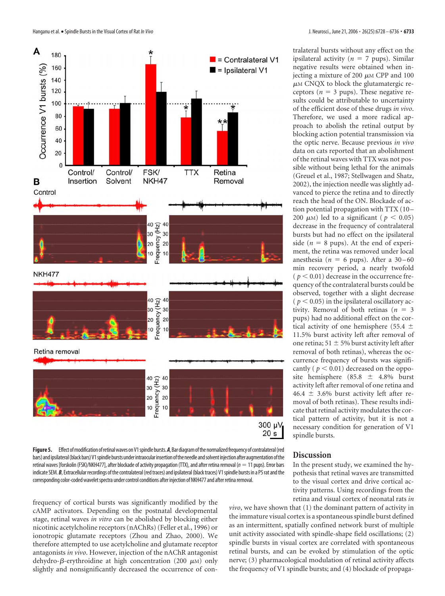

Figure 5. Effect of modification of retinal waves on V1 spindle bursts. A, Bar diagram of the normalized frequency of contralateral (red bars) and ipsilateral (black bars) V1 spindle bursts under intraocular insertion of the needle and solvent injection after augmentation of the retinal waves [forskolin (FSK)/NKH477], after blockade of activity propagation (TTX), and after retina removal (*n*11 pups). Error bars indicate SEM. B, Extracellular recordings of the contralateral (red traces) and ipsilateral (black traces) V1 spindle bursts in a P5 rat and the corresponding color-coded wavelet spectra under control conditions after injection of NKH477 and after retina removal.

frequency of cortical bursts was significantly modified by the cAMP activators. Depending on the postnatal developmental stage, retinal waves *in vitro* can be abolished by blocking either nicotinic acetylcholine receptors (nAChRs) (Feller et al., 1996) or ionotropic glutamate receptors (Zhou and Zhao, 2000). We therefore attempted to use acetylcholine and glutamate receptor antagonists *in vivo*. However, injection of the nAChR antagonist dehydro- $\beta$ -erythroidine at high concentration (200  $\mu$ M) only slightly and nonsignificantly decreased the occurrence of contralateral bursts without any effect on the ipsilateral activity ( $n = 7$  pups). Similar negative results were obtained when injecting a mixture of 200  $\mu$ M CPP and 100  $\mu$ M CNQX to block the glutamatergic receptors ( $n = 3$  pups). These negative results could be attributable to uncertainty of the efficient dose of these drugs *in vivo*. Therefore, we used a more radical approach to abolish the retinal output by blocking action potential transmission via the optic nerve. Because previous *in vivo* data on cats reported that an abolishment of the retinal waves with TTX was not possible without being lethal for the animals (Greuel et al., 1987; Stellwagen and Shatz, 2002), the injection needle was slightly advanced to pierce the retina and to directly reach the head of the ON. Blockade of action potential propagation with TTX (10 – 200  $\mu$ <sub>M</sub>) led to a significant ( $p < 0.05$ ) decrease in the frequency of contralateral bursts but had no effect on the ipsilateral side ( $n = 8$  pups). At the end of experiment, the retina was removed under local anesthesia ( $n = 6$  pups). After a 30-60 min recovery period, a nearly twofold  $(p < 0.01)$  decrease in the occurrence frequency of the contralateral bursts could be observed, together with a slight decrease ( $p < 0.05$ ) in the ipsilateral oscillatory activity. Removal of both retinas  $(n = 3$ pups) had no additional effect on the cortical activity of one hemisphere (55.4  $\pm$ 11.5% burst activity left after removal of one retina; 51  $\pm$  5% burst activity left after removal of both retinas), whereas the occurrence frequency of bursts was significantly ( $p < 0.01$ ) decreased on the opposite hemisphere (85.8  $\pm$  4.8% burst activity left after removal of one retina and  $46.4 \pm 3.6\%$  burst activity left after removal of both retinas). These results indicate that retinal activity modulates the cortical pattern of activity, but it is not a necessary condition for generation of V1 spindle bursts.

#### **Discussion**

In the present study, we examined the hypothesis that retinal waves are transmitted to the visual cortex and drive cortical activity patterns. Using recordings from the retina and visual cortex of neonatal rats *in*

*vivo*, we have shown that (1) the dominant pattern of activity in the immature visual cortex is a spontaneous spindle burst defined as an intermittent, spatially confined network burst of multiple unit activity associated with spindle-shape field oscillations; (2) spindle bursts in visual cortex are correlated with spontaneous retinal bursts, and can be evoked by stimulation of the optic nerve; (3) pharmacological modulation of retinal activity affects the frequency of V1 spindle bursts; and (4) blockade of propaga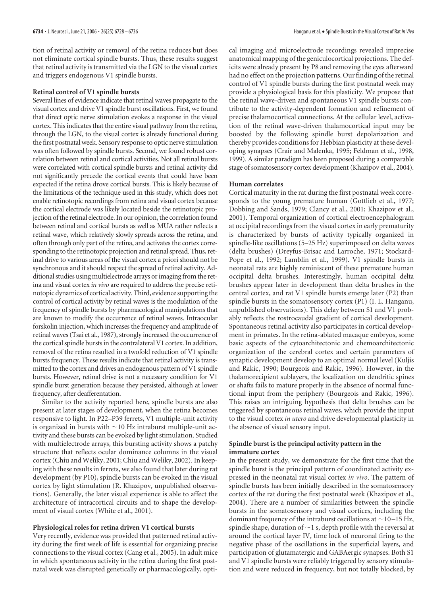tion of retinal activity or removal of the retina reduces but does not eliminate cortical spindle bursts. Thus, these results suggest that retinal activity is transmitted via the LGN to the visual cortex and triggers endogenous V1 spindle bursts.

#### **Retinal control of V1 spindle bursts**

Several lines of evidence indicate that retinal waves propagate to the visual cortex and drive V1 spindle burst oscillations. First, we found that direct optic nerve stimulation evokes a response in the visual cortex. This indicates that the entire visual pathway from the retina, through the LGN, to the visual cortex is already functional during the first postnatal week. Sensory response to optic nerve stimulation was often followed by spindle bursts. Second, we found robust correlation between retinal and cortical activities. Not all retinal bursts were correlated with cortical spindle bursts and retinal activity did not significantly precede the cortical events that could have been expected if the retina drove cortical bursts. This is likely because of the limitations of the technique used in this study, which does not enable retinotopic recordings from retina and visual cortex because the cortical electrode was likely located beside the retinotopic projection of the retinal electrode. In our opinion, the correlation found between retinal and cortical bursts as well as MUA rather reflects a retinal wave, which relatively slowly spreads across the retina, and often through only part of the retina, and activates the cortex corresponding to the retinotopic projection and retinal spread. Thus, retinal drive to various areas of the visual cortex a priori should not be synchronous and it should respect the spread of retinal activity. Additional studies using multielectrode arrays or imaging from the retina and visual cortex *in vivo* are required to address the precise retinotopic dynamics of cortical activity. Third, evidence supporting the control of cortical activity by retinal waves is the modulation of the frequency of spindle bursts by pharmacological manipulations that are known to modify the occurrence of retinal waves. Intraocular forskolin injection, which increases the frequency and amplitude of retinal waves (Tsai et al., 1987), strongly increased the occurrence of the cortical spindle bursts in the contralateral V1 cortex. In addition, removal of the retina resulted in a twofold reduction of V1 spindle bursts frequency. These results indicate that retinal activity is transmitted to the cortex and drives an endogenous pattern of V1 spindle bursts. However, retinal drive is not a necessary condition for V1 spindle burst generation because they persisted, although at lower frequency, after deafferentation.

Similar to the activity reported here, spindle bursts are also present at later stages of development, when the retina becomes responsive to light. In P22–P39 ferrets, V1 multiple-unit activity is organized in bursts with  $\sim$  10 Hz intraburst multiple-unit activity and these bursts can be evoked by light stimulation. Studied with multielectrode arrays, this bursting activity shows a patchy structure that reflects ocular dominance columns in the visual cortex (Chiu and Weliky, 2001; Chiu and Weliky, 2002). In keeping with these results in ferrets, we also found that later during rat development (by P10), spindle bursts can be evoked in the visual cortex by light stimulation (R. Khazipov, unpublished observations). Generally, the later visual experience is able to affect the architecture of intracortical circuits and to shape the development of visual cortex (White et al., 2001).

#### **Physiological roles for retina driven V1 cortical bursts**

Very recently, evidence was provided that patterned retinal activity during the first week of life is essential for organizing precise connections to the visual cortex (Cang et al., 2005). In adult mice in which spontaneous activity in the retina during the first postnatal week was disrupted genetically or pharmacologically, optical imaging and microelectrode recordings revealed imprecise anatomical mapping of the geniculocortical projections. The deficits were already present by P8 and removing the eyes afterward had no effect on the projection patterns. Our finding of the retinal control of V1 spindle bursts during the first postnatal week may provide a physiological basis for this plasticity. We propose that the retinal wave-driven and spontaneous V1 spindle bursts contribute to the activity-dependent formation and refinement of precise thalamocortical connections. At the cellular level, activation of the retinal wave-driven thalamocortical input may be boosted by the following spindle burst depolarization and thereby provides conditions for Hebbian plasticity at these developing synapses (Crair and Malenka, 1995; Feldman et al., 1998, 1999). A similar paradigm has been proposed during a comparable stage of somatosensory cortex development (Khazipov et al., 2004).

#### **Human correlates**

Cortical maturity in the rat during the first postnatal week corresponds to the young premature human (Gottlieb et al., 1977; Dobbing and Sands, 1979; Clancy et al., 2001; Khazipov et al., 2001). Temporal organization of cortical electroencephalogram at occipital recordings from the visual cortex in early prematurity is characterized by bursts of activity typically organized in spindle-like oscillations (5–25 Hz) superimposed on delta waves (delta brushes) (Dreyfus-Brisac and Larroche, 1971; Stockard-Pope et al., 1992; Lamblin et al., 1999). V1 spindle bursts in neonatal rats are highly reminiscent of these premature human occipital delta brushes. Interestingly, human occipital delta brushes appear later in development than delta brushes in the central cortex, and rat V1 spindle bursts emerge later (P2) than spindle bursts in the somatosensory cortex (P1) (I. L. Hanganu, unpublished observations). This delay between S1 and V1 probably reflects the rostrocaudal gradient of cortical development. Spontaneous retinal activity also participates in cortical development in primates. In the retina-ablated macaque embryos, some basic aspects of the cytoarchitectonic and chemoarchitectonic organization of the cerebral cortex and certain parameters of synaptic development develop to an optimal normal level (Kuljis and Rakic, 1990; Bourgeois and Rakic, 1996). However, in the thalamorecipient sublayers, the localization on dendritic spines or shafts fails to mature properly in the absence of normal functional input from the periphery (Bourgeois and Rakic, 1996). This raises an intriguing hypothesis that delta brushes can be triggered by spontaneous retinal waves, which provide the input to the visual cortex *in utero* and drive developmental plasticity in the absence of visual sensory input.

#### **Spindle burst is the principal activity pattern in the immature cortex**

In the present study, we demonstrate for the first time that the spindle burst is the principal pattern of coordinated activity expressed in the neonatal rat visual cortex *in vivo*. The pattern of spindle bursts has been initially described in the somatosensory cortex of the rat during the first postnatal week (Khazipov et al., 2004). There are a number of similarities between the spindle bursts in the somatosensory and visual cortices, including the dominant frequency of the intraburst oscillations at  $\sim$  10 – 15 Hz, spindle shape, duration of  $\sim$  1 s, depth profile with the reversal at around the cortical layer IV, time lock of neuronal firing to the negative phase of the oscillations in the superficial layers, and participation of glutamatergic and GABAergic synapses. Both S1 and V1 spindle bursts were reliably triggered by sensory stimulation and were reduced in frequency, but not totally blocked, by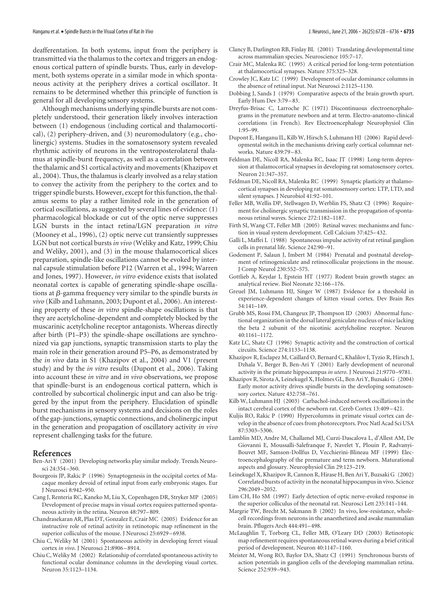deafferentation. In both systems, input from the periphery is transmitted via the thalamus to the cortex and triggers an endogenous cortical pattern of spindle bursts. Thus, early in development, both systems operate in a similar mode in which spontaneous activity at the periphery drives a cortical oscillator. It remains to be determined whether this principle of function is general for all developing sensory systems.

Although mechanisms underlying spindle bursts are not completely understood, their generation likely involves interaction between (1) endogenous (including cortical and thalamocortical), (2) periphery-driven, and (3) neuromodulatory (e.g., cholinergic) systems. Studies in the somatosensory system revealed rhythmic activity of neurons in the ventroposterolateral thalamus at spindle-burst frequency, as well as a correlation between the thalamic and S1 cortical activity and movements (Khazipov et al., 2004). Thus, the thalamus is clearly involved as a relay station to convey the activity from the periphery to the cortex and to trigger spindle bursts. However, except for this function, the thalamus seems to play a rather limited role in the generation of cortical oscillations, as suggested by several lines of evidence: (1) pharmacological blockade or cut of the optic nerve suppresses LGN bursts in the intact retina/LGN preparation *in vitro* (Mooney et al., 1996), (2) optic nerve cut transiently suppresses LGN but not cortical bursts *in vivo* (Weliky and Katz, 1999; Chiu and Weliky, 2001), and (3) in the mouse thalamocortical slices preparation, spindle-like oscillations cannot be evoked by internal capsule stimulation before P12 (Warren et al., 1994; Warren and Jones, 1997). However, *in vitro* evidence exists that isolated neonatal cortex is capable of generating spindle-shape oscillations at *β*-gamma frequency very similar to the spindle bursts *in vivo* (Kilb and Luhmann, 2003; Dupont et al., 2006). An interesting property of these *in vitro* spindle-shape oscillations is that they are acetylcholine-dependent and completely blocked by the muscarinic acetylcholine receptor antagonists. Whereas directly after birth (P1–P3) the spindle-shape oscillations are synchronized via gap junctions, synaptic transmission starts to play the main role in their generation around P5–P6, as demonstrated by the *in vivo* data in S1 (Khazipov et al., 2004) and V1 (present study) and by the *in vitro* results (Dupont et al., 2006). Taking into account these *in vitro* and *in vivo* observations, we propose that spindle-burst is an endogenous cortical pattern, which is controlled by subcortical cholinergic input and can also be triggered by the input from the periphery. Elucidation of spindle burst mechanisms in sensory systems and decisions on the roles of the gap-junctions, synaptic connections, and cholinergic input in the generation and propagation of oscillatory activity *in vivo* represent challenging tasks for the future.

#### **References**

- Ben-Ari Y (2001) Developing networks play similar melody. Trends Neurosci 24:354 –360.
- Bourgeois JP, Rakic P (1996) Synaptogenesis in the occipital cortex of Macaque monkey devoid of retinal input from early embryonic stages. Eur J Neurosci 8:942–950.
- Cang J, Renteria RC, Kaneko M, Liu X, Copenhagen DR, Stryker MP (2005) Development of precise maps in visual cortex requires patterned spontaneous activity in the retina. Neuron 48:797–809.
- Chandrasekaran AR, Plas DT, Gonzalez E, Crair MC (2005) Evidence for an instructive role of retinal activity in retinotopic map refinement in the superior colliculus of the mouse. J Neurosci 25:6929 –6938.
- Chiu C, Weliky M (2001) Spontaneous activity in developing ferret visual cortex *in vivo*. J Neurosci 21:8906 –8914.
- Chiu C, Weliky M (2002) Relationship of correlated spontaneous activity to functional ocular dominance columns in the developing visual cortex. Neuron 35:1123–1134.
- Clancy B, Darlington RB, Finlay BL (2001) Translating developmental time across mammalian species. Neuroscience 105:7–17.
- Crair MC, Malenka RC (1995) A critical period for long-term potentiation at thalamocortical synapses. Nature 375:325–328.
- Crowley JC, Katz LC (1999) Development of ocular dominance columns in the absence of retinal input. Nat Neurosci 2:1125–1130.
- Dobbing J, Sands J (1979) Comparative aspects of the brain growth spurt. Early Hum Dev 3:79 –83.
- Dreyfus-Brisac C, Larroche JC (1971) Discontinuous electroencephalograms in the premature newborn and at term. Electro-anatomo-clinical correlations (in French). Rev Electroencephalogr Neurophysiol Clin 1:95–99.
- Dupont E, Hanganu IL, Kilb W, Hirsch S, Luhmann HJ (2006) Rapid developmental switch in the mechanisms driving early cortical columnar networks. Nature 439:79 –83.
- Feldman DE, Nicoll RA, Malenka RC, Isaac JT (1998) Long-term depression at thalamocortical synapses in developing rat somatosensory cortex. Neuron 21:347–357.
- Feldman DE, Nicoll RA, Malenka RC (1999) Synaptic plasticity at thalamocortical synapses in developing rat somatosensory cortex: LTP, LTD, and silent synapses. J Neurobiol 41:92–101.
- Feller MB, Wellis DP, Stellwagen D, Werblin FS, Shatz CJ (1996) Requirement for cholinergic synaptic transmission in the propagation of spontaneous retinal waves. Science 272:1182–1187.
- Firth SI, Wang CT, Feller MB (2005) Retinal waves: mechanisms and function in visual system development. Cell Calcium 37:425–432.
- Galli L, Maffei L (1988) Spontaneous impulse activity of rat retinal ganglion cells in prenatal life. Science 242:90 –91.
- Godement P, Salaun J, Imbert M (1984) Prenatal and postnatal development of retinogeniculate and retinocollicular projections in the mouse. J Comp Neurol 230:552–575.
- Gottlieb A, Keydar I, Epstein HT (1977) Rodent brain growth stages: an analytical review. Biol Neonate 32:166 –176.
- Greuel JM, Luhmann HJ, Singer W (1987) Evidence for a threshold in experience-dependent changes of kitten visual cortex. Dev Brain Res 34:141–149.
- Grubb MS, Rossi FM, Changeux JP, Thompson ID (2003) Abnormal functional organization in the dorsal lateral geniculate nucleus of mice lacking the beta 2 subunit of the nicotinic acetylcholine receptor. Neuron 40:1161–1172.
- Katz LC, Shatz CJ (1996) Synaptic activity and the construction of cortical circuits. Science 274:1133–1138.
- Khazipov R, Esclapez M, Caillard O, Bernard C, Khalilov I, Tyzio R, Hirsch J, Dzhala V, Berger B, Ben-Ari Y (2001) Early development of neuronal activity in the primate hippocampus *in utero*. J Neurosci 21:9770 –9781.
- Khazipov R, Sirota A, Leinekugel X, Holmes GL, Ben Ari Y, Buzsaki G (2004) Early motor activity drives spindle bursts in the developing somatosensory cortex. Nature 432:758 –761.
- Kilb W, Luhmann HJ (2003) Carbachol-induced network oscillations in the intact cerebral cortex of the newborn rat. Cereb Cortex 13:409 –421.
- Kuljis RO, Rakic P (1990) Hypercolumns in primate visual cortex can develop in the absence of cues from photoreceptors. Proc Natl Acad Sci USA 87:5303–5306.
- Lamblin MD, Andre M, Challamel MJ, Curzi-Dascalova L, d'Allest AM, De Giovanni E, Moussalli-Salefranque F, Navelet Y, Plouin P, Radvanyi-Bouvet MF, Samson-Dollfus D, Vecchierini-Blineau MF (1999) Electroencephalography of the premature and term newborn. Maturational aspects and glossary. Neurophysiol Clin 29:123–219.
- Leinekugel X, Khazipov R, Cannon R, Hirase H, Ben Ari Y, Buzsaki G (2002) Correlated bursts of activity in the neonatal hippocampus in vivo. Science 296:2049 –2052.
- Lim CH, Ho SM (1997) Early detection of optic nerve-evoked response in the superior colliculus of the neonatal rat. Neurosci Lett 235:141–144.
- Margrie TW, Brecht M, Sakmann B (2002) In vivo, low-resistance, wholecell recordings from neurons in the anaesthetized and awake mammalian brain. Pflugers Arch 444:491–498.
- McLaughlin T, Torborg CL, Feller MB, O'Leary DD (2003) Retinotopic map refinement requires spontaneous retinal waves during a brief critical period of development. Neuron 40:1147–1160.
- Meister M, Wong RO, Baylor DA, Shatz CJ (1991) Synchronous bursts of action potentials in ganglion cells of the developing mammalian retina. Science 252:939 –943.